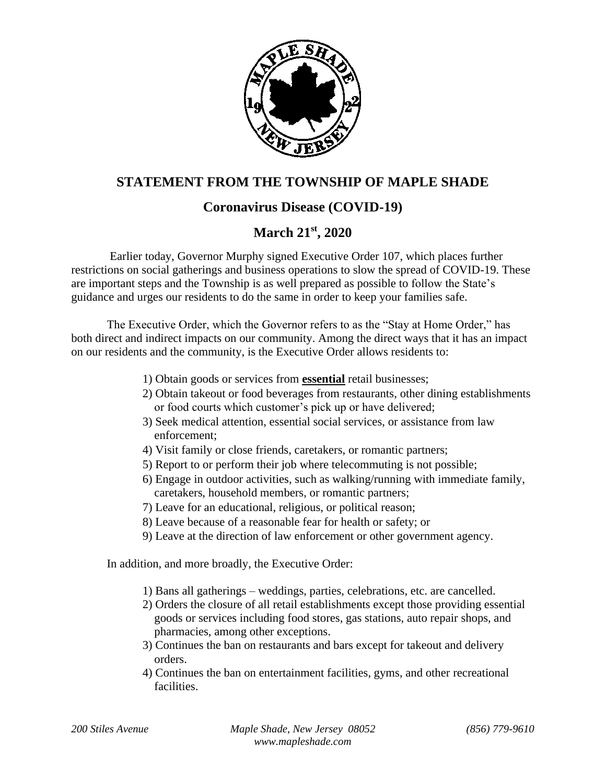

## **STATEMENT FROM THE TOWNSHIP OF MAPLE SHADE**

## **Coronavirus Disease (COVID-19)**

## **March 21st, 2020**

Earlier today, Governor Murphy signed Executive Order 107, which places further restrictions on social gatherings and business operations to slow the spread of COVID-19. These are important steps and the Township is as well prepared as possible to follow the State's guidance and urges our residents to do the same in order to keep your families safe.

The Executive Order, which the Governor refers to as the "Stay at Home Order," has both direct and indirect impacts on our community. Among the direct ways that it has an impact on our residents and the community, is the Executive Order allows residents to:

- 1) Obtain goods or services from **essential** retail businesses;
- 2) Obtain takeout or food beverages from restaurants, other dining establishments or food courts which customer's pick up or have delivered;
- 3) Seek medical attention, essential social services, or assistance from law enforcement;
- 4) Visit family or close friends, caretakers, or romantic partners;
- 5) Report to or perform their job where telecommuting is not possible;
- 6) Engage in outdoor activities, such as walking/running with immediate family, caretakers, household members, or romantic partners;
- 7) Leave for an educational, religious, or political reason;
- 8) Leave because of a reasonable fear for health or safety; or
- 9) Leave at the direction of law enforcement or other government agency.

In addition, and more broadly, the Executive Order:

- 1) Bans all gatherings weddings, parties, celebrations, etc. are cancelled.
- 2) Orders the closure of all retail establishments except those providing essential goods or services including food stores, gas stations, auto repair shops, and pharmacies, among other exceptions.
- 3) Continues the ban on restaurants and bars except for takeout and delivery orders.
- 4) Continues the ban on entertainment facilities, gyms, and other recreational facilities.